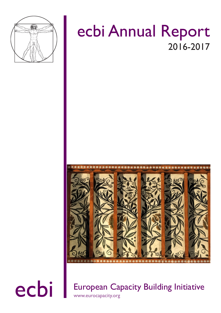

# ecbi Annual Report 2016-2017



ecbi European Capacity Building Initiative www.eurocapacity.org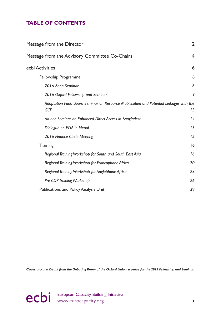## **TABLE OF CONTENTS**

| Message from the Director                                                                     | $\overline{2}$          |
|-----------------------------------------------------------------------------------------------|-------------------------|
| Message from the Advisory Committee Co-Chairs                                                 | $\overline{\mathbf{4}}$ |
| ecbi Activities                                                                               | 6                       |
| Fellowship Programme                                                                          | 6                       |
| 2016 Bonn Seminar                                                                             | 6                       |
| 2016 Oxford Fellowship and Seminar                                                            | 9                       |
| Adaptation Fund Board Seminar on Resource Mobilisation and Potential Linkages with the<br>GCF | 13                      |
| Ad hoc Seminar on Enhanced Direct Access in Bangladesh                                        | 4                       |
| Dialogue on EDA in Nepal                                                                      | 15                      |
| 2016 Finance Circle Meeting                                                                   | 15                      |
| <b>Training</b>                                                                               | 16                      |
| Regional Training Workshop for South and South East Asia                                      | 16                      |
| Regional Training Workshop for Francophone Africa                                             | 20                      |
| Regional Training Workshop for Anglophone Africa                                              | 23                      |
| Pre-COP Training Workshop                                                                     | 26                      |
| <b>Publications and Policy Analysis Unit</b>                                                  | 29                      |

**Cover picture***: Detail from the Debating Room of the Oxford Union, a venue for the 2015 Fellowship and Seminar.*

ecbi European Capacity Building Initiative<br> **1**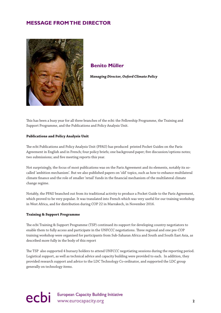## <span id="page-2-0"></span>**MESSAGE FROM THE DIRECTOR**



## **Benito Müller**

 *Managing Director, Oxford Climate Policy*

This has been a busy year for all three branches of the ecbi: the Fellowship Programme, the Training and Support Programme, and the Publications and Policy Analysis Unit.

## **Publications and Policy Analysis Unit**

The ecbi Publications and Policy Analysis Unit (PPAU) has produced printed Pocket Guides on the Paris Agreement in English and in French; four policy briefs; one background paper; five discussion/options notes; two submissions; and five meeting reports this year.

Not surprisingly, the focus of most publications was on the Paris Agreement and its elements, notably its socalled 'ambition mechanism'. But we also published papers on 'old' topics, such as how to enhance multilateral climate finance and the role of smaller 'retail' funds in the financial mechanism of the multilateral climate change regime.

Notably, the PPAU branched out from its traditional activity to produce a Pocket Guide to the Paris Agreement, which proved to be very popular. It was translated into French which was very useful for our training workshop in West Africa, and for distribution during COP 22 in Marrakech, in November 2016.

#### **Training & Support Programme**

The ecbi Training & Support Programme (TSP) continued its support for developing country negotiators to enable them to fully access and participate in the UNFCCC negotiations. Three regional and one pre-COP training workshop were organised for participants from Sub-Saharan Africa and South and South East Asia, as described more fully in the body of this report

The TSP also supported 4 bursary holders to attend UNFCCC negotiating sessions during the reporting period. Logistical support, as well as technical advice and capacity building were provided to each. In addition, they provided research support and advice to the LDC Technology Co-ordinator, and supported the LDC group generally on technology items.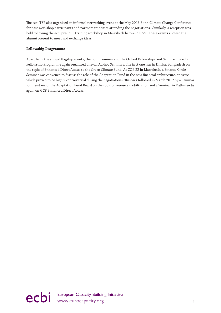The ecbi TSP also organised an informal networking event at the May 2016 Bonn Climate Change Conference for past workshop participants and partners who were attending the negotiations. Similarly, a reception was held following the ecbi pre-COP training workshop in Marrakech before COP22. These events allowed the alumni present to meet and exchange ideas.

## **Fellowship Programme**

Apart from the annual flagship events, the Bonn Seminar and the Oxford Fellowships and Seminar the ecbi Fellowship Programme again organised one-off Ad-hoc Seminars. The first one was in Dhaka, Bangladesh on the topic of Enhanced Direct Access to the Green Climate Fund. At COP 22 in Marrakesh, a Finance Circle Seminar was convened to discuss the role of the Adaptation Fund in the new financial architecture, an issue which proved to be highly controversial during the negotiations. This was followed in March 2017 by a Seminar for members of the Adaptation Fund Board on the topic of resource mobilization and a Seminar in Kathmandu again on GCF Enhanced Direct Access.

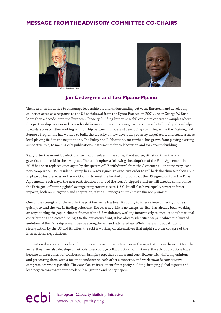## <span id="page-4-0"></span>**MESSAGE FROM THE ADVISORY COMMITTEE CO-CHAIRS**





## **Jan Cedergren and Tosi Mpanu-Mpanu**

The idea of an Initiative to encourage leadership by, and understanding between, European and developing countries arose as a response to the US withdrawal from the Kyoto Protocol in 2001, under George W. Bush. More than a decade later, the European Capacity Building Initiative (ecbi) can claim concrete examples where this partnership has worked to resolve differences in the climate negotiations. The ecbi Fellowships have helped towards a constructive working relationship between Europe and developing countries, while the Training and Support Programme has worked to build the capacity of new developing country negotiators, and create a more level playing field in the negotiations. The Policy and Publications, meanwhile, has grown from playing a strong supportive role, to making ecbi publications instruments for collaboration and for capacity building.

Sadly, after the recent US elections we find ourselves in the same, if not worse, situation than the one that gave rise to the ecbi in the first place. The brief euphoria following the adoption of the Paris Agreement in 2015 has been replaced once again by the spectre of US withdrawal from the Agreement – or at the very least, non-compliance. US President Trump has already signed an executive order to roll back the climate policies put in place by his predecessor Barack Obama, to meet the limited ambition that the US signed on to in the Paris Agreement. Both ways, the non-participation of one of the world's biggest emitters will directly compromise the Paris goal of limiting global average temperature rise to 1.5 C. It will also have equally severe indirect impacts, both on mitigation and adaptation, if the US reneges on its climate finance promises.

One of the strengths of the ecbi in the past few years has been its ability to foresee impediments, and react quickly, to lead the way in finding solutions. The current crisis is no exception. Ecbi has already been working on ways to plug the gap in climate finance if the US withdraws, working innovatively to encourage sub-national contributions and crowdfunding. On the emissions front, it has already identified ways in which the limited ambition of the Paris Agreement can be strengthened and ratcheted up. While there is no substitute for strong action by the US and its allies, the ecbi is working on alternatives that might stop the collapse of the international negotiations.

Innovation does not stop only at finding ways to overcome differences in the negotiations in the ecbi. Over the years, they have also developed methods to encourage collaboration. For instance, the ecbi publications have become an instrument of collaboration, bringing together authors and contributors with differing opinions and presenting them with a forum to understand each other's concerns, and work towards constructive compromises where possible. They are also an instrument for capacity building, bringing global experts and lead negotiators together to work on background and policy papers.

# ecbi European Capacity Building Initiative<br>
4<br> **4**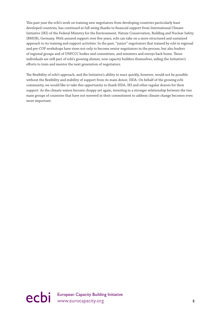This past year the ecbi's work on training new negotiators from developing countries particularly least developed countries, has continued in full swing thanks to financial support from International Climate Initiative (IKI) of the Federal Ministry for the Environment, Nature Conservation, Building and Nuclear Safety (BMUB), Germany. With assured support over five years, ecbi can take on a more structured and sustained approach to its training and support activities. In the past, "junior" negotiators that trained by ecbi in regional and pre-COP workshops have risen not only to become senior negotiators in the process, but also leaders of regional groups and of UNFCCC bodies and committees, and ministers and envoys back home. These individuals are still part of ecbi's growing alumni, now capacity builders themselves, aiding the Initiative's efforts to train and mentor the next generation of negotiators.

The flexibility of ecbi's approach, and the Initiative's ability to react quickly, however, would not be possible without the flexibility and stability of support from its main donor, SIDA. On behalf of the growing ecbi community, we would like to take this opportunity to thank SIDA, IKI and other regular donors for their support. As the climate waters become choppy yet again, investing in a stronger relationship between the two main groups of countries that have not wavered in their commitment to address climate change becomes even more important.

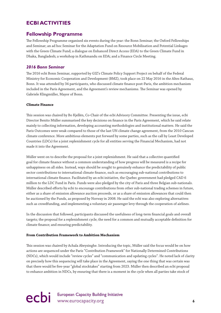## <span id="page-6-0"></span>**ECBI ACTIVITIES**

## **Fellowship Programme**

The Fellowship Programme organised six events during the year: the Bonn Seminar; the Oxford Fellowships and Seminar; an ad hoc Seminar for the Adaptation Fund on Resource Mobilisation and Potential Linkages with the Green Climate Fund; a dialogue on Enhanced Direct Access (EDA) to the Green Climate Fund in Dhaka, Bangladesh; a workshop in Kathmandu on EDA; and a Finance Circle Meeting.

## *2016 Bonn Seminar*

The 2016 ecbi Bonn Seminar, supported by GIZ's Climate Policy Support Project on behalf of the Federal Ministry for Economic Cooperation and Development (BMZ), took place on 22 May 2016 in the Altes Rathaus, Bonn. It was attended by 34 participants, who discussed climate finance post-Paris, the ambition mechanism included in the Paris Agreement, and the Agreement's review mechanisms. The Seminar was opened by Gabriele Klingmüller, Mayor of Bonn.

## **Climate Finance**

This session was chaired by Bo Kjellén, Co-Chair of the ecbi Advisory Committee. Presenting the issue, ecbi Director Benito Müller summarised the key decisions on finance in the Paris Agreement, which he said relate mainly to collecting information, developing accounting methodologies and institutional matters. He said the Paris Outcomes were weak compared to those of the last UN climate change agreement, from the 2010 Cancun climate conference. More ambitious elements put forward by some parties, such as the call by Least Developed Countries (LDCs) for a joint replenishment cycle for all entities serving the Financial Mechanism, had not made it into the Agreement.

Müller went on to describe the proposal for a joint replenishment. He said that a collective quantified goal for climate finance without a common understanding of how progress will be measured is a recipe for unhappiness on all sides. Instead, ways should be sought to genuinely enhance the predictability of public sector contributions to international climate finance, such as encouraging sub-national contributions to international climate finance. Facilitated by an ecbi initiative, the Quebec government had pledged CAD 6 million to the LDC Fund in Paris. Funds were also pledged by the city of Paris and three Belgian sub-nationals. Müller described efforts by ecbi to encourage contributions from other sub-national trading schemes in future, either as a share of emission allowance auction proceeds, or as a share of emission allowances that could then be auctioned by the Funds, as proposed by Norway in 2008. He said the ecbi was also exploring alternatives such as crowdfunding, and implementing a voluntary air passenger levy through the cooperation of airlines.

In the discussion that followed, participants discussed the usefulness of long-term financial goals and overall targets; the proposal for a replenishment cycle; the need for a common and mutually acceptable definition for climate finance; and ensuring predictability.

## **From Contribution Framework to Ambition Mechanism**

This session was chaired by Achala Abeysinghe. Introducing the topic, Müller said the focus would be on how actions are sequenced under the Paris "Contribution Framework" for Nationally Determined Contributions (NDCs), which would include "review cycles" and "communication and updating cycles". He noted lack of clarity on precisely how this sequencing will take place in the Agreement, saying the one thing that was certain was that there would be five-year "global stocktakes" starting from 2023. Müller then described an ecbi proposal to enhance ambition in NDCs, by ensuring that there is a moment in the cycle when all parties take stock of

ecbi European Capacity Building Initiative **6**<br> **example 20** intervention of the www.eurocapacity.org **6**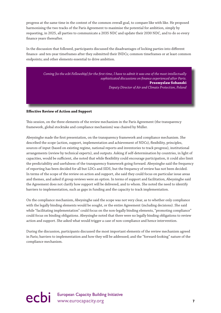progress at the same time in the context of the common overall goal, to compare like with like. He proposed harmonising the two tracks of the Paris Agreement to maximise the potential for ambition, simply by requesting, in 2025, all parties to communicate a 2035 NDC and update their 2030 NDC, and to do so every finance years thereafter.

In the discussion that followed, participants discussed the disadvantages of locking parties into different finance- and ten-year timeframes after they submitted their INDCs; common timeframes or at least common endpoints; and other elements essential to drive ambition.

*Coming [to the ecbi Fellowship] for the first time, I have to admit it was one of the most intellectually sophisticated discussions on finance experienced after Paris.* **Przemyslaw Sobanski** *Deputy Director of Air and Climate Protection, Poland* 

## **Effective Review of Action and Support**

This session, on the three elements of the review mechanism in the Paris Agreement (the transparency framework, global stocktake and compliance mechanism) was chaired by Müller.

Abeysinghe made the first presentation, on the transparency framework and compliance mechanism. She described the scope (action, support, implementation and achievement of NDCs), flexibility, principles, sources of input (based on existing regime, national reports and inventories to track progress), institutional arrangements (review by technical experts), and outputs. Asking if self-determination by countries, in light of capacities, would be sufficient, she noted that while flexibility could encourage participation, it could also limit the predictability and usefulness of the transparency framework going forward. Abeysinghe said the frequency of reporting has been decided for all but LDCs and SIDS, but the frequency of review has not been decided. In terms of the scope of the review on action and support, she said they could focus on particular issue areas and themes, and asked if group reviews were an option. In terms of support and facilitation, Abeysinghe said the Agreement does not clarify how support will be delivered, and to whom. She noted the need to identify barriers to implementation, such as gaps in funding and the capacity to track implementation.

On the compliance mechanism, Abeysinghe said the scope was not very clear, as to whether only compliance with the legally binding elements would be sought, or the entire Agreement (including decisions). She said while "facilitating implementation" could focus on the non-legally binding elements, "promoting compliance" could focus on binding obligations. Abeysinghe noted that there were no legally binding obligations to review action and support. She asked what would trigger a case of non-compliance and hence intervention.

During the discussion, participants discussed the most important elements of the review mechanism agreed in Paris; barriers to implementation and how they will be addressed; and the "forward-looking" nature of the compliance mechanism.

# ecbi European Capacity Building Initiative<br> **PCDi** www.eurocapacity.org **7**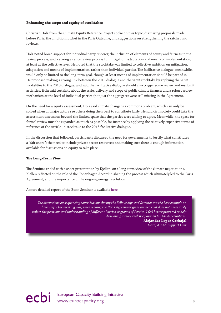## **Enhancing the scope and equity of stocktakes**

Christian Holz from the Climate Equity Reference Project spoke on this topic, discussing proposals made before Paris; the ambition ratchet in the Paris Outcome; and suggestions on strengthening the ratchet and reviews.

Holz noted broad support for individual party reviews; the inclusion of elements of equity and fairness in the review process; and a strong ex ante review process for mitigation, adaptation and means of implementation, at least at the collective level. He noted that the stocktake was limited to collective ambition on mitigation, adaptation and means of implementation, rather than individual parties. The facilitative dialogue, meanwhile, would only be limited to the long-term goal, though at least means of implementation should be part of it. He proposed making a strong link between the 2018 dialogue and the 2023 stocktake by applying the 2023 modalities to the 2018 dialogue, and said the facilitative dialogue should also trigger some review and resubmit activities. Holz said certainty about the scale, delivery and scope of public climate finance; and a robust review mechanism at the level of individual parties (not just the aggregate) were still missing in the Agreement.

On the need for a equity assessment, Holz said climate change is a commons problem, which can only be solved when all major actors see others doing their best to contribute fairly. He said civil society could take the assessment discussion beyond the limited space that the parties were willing to agree. Meanwhile, the space for formal review must be expanded as much as possible, for instance by applying the relatively expansive terms of reference of the Article 14 stocktake to the 2018 facilitative dialogue.

In the discussion that followed, participants discussed the need for governments to justify what constitutes a "fair share"; the need to include private sector resources; and making sure there is enough information available for discussions on equity to take place.

## **The Long-Term View**

The Seminar ended with a short presentation by Kjellén, on a long-term view of the climate negotiations. Kjellén reflected on the role of the Copenhagen Accord in shaping the process which ultimately led to the Paris Agreement; and the importance of the ongoing energy revolution.

A more detailed report of the Bonn Seminar is available [here.](http://www.eurocapacity.org/downloads/Bonn-Seminar-2016-report.pdf)

*The discussions on sequencing contributions during the Fellowships and Seminar are the best example on how useful the meeting was, since reading the Paris Agreement gives an idea that does not necessarily reflect the positions and understanding of different Parties or groups of Parties. I feel better prepared to help developing a more realistic position for AILAC countries.*

**Alejandra Lopez Carbajal** *Head, AILAC Support Unit* 

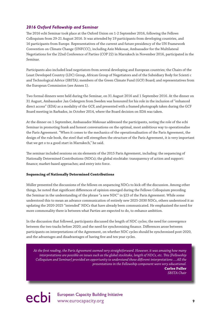## <span id="page-9-0"></span>*2016 Oxford Fellowship and Seminar*

The 2016 ecbi Seminar took place at the Oxford Union on 1-2 September 2016, following the Fellows Colloquium from 29-21 August 2016. It was attended by 19 participants from developing countries, and 16 participants from Europe. Representatives of the current and future presidency of the UN Framework Convention on Climate Change (UNFCCC), including Aziz Mekouar, Ambassador for the Multilateral Negotiations for the 22nd Conference of Parties (COP 22) in Marrakech in November 2016, participated in the Seminar.

Participants also included lead negotiators from several developing and European countries; the Chairs of the Least Developed Country (LDC) Group, African Group of Negotiators and of the Subsidiary Body for Scienti c and Technological Advice (SBSTA); members of the Green Climate Fund (GCF) Board; and representatives from the European Commission (see Annex 1).

Two formal dinners were held during the Seminar, on 31 August 2016 and 1 September 2016. At the dinner on 31 August, Ambassador Jan Cedergren from Sweden was honoured for his role in the inclusion of "enhanced direct access" (EDA) as a modality of the GCF, and presented with a framed photograph taken during the GCF Board meeting in Barbados, in October 2014, where the Board decision on EDA was taken.

At the dinner on 1 September, Ambassador Mekouar addressed the participants, noting the role of the ecbi Seminar in promoting frank and honest conversations on the optimal, most ambitious way to operationalise the Paris Agreement. "When it comes to the mechanics of the operationalisation of the Paris Agreement, the design of the rule book, the steel that will strengthen the structure of the Paris Agreement, it is very important that we get o to a good start in Marrakech," he said.

The seminar included sessions on six elements of the 2015 Paris Agreement, including: the sequencing of Nationally Determined Contributions (NDCs); the global stocktake: transparency of action and support: finance; market-based approaches; and entry into force.

## **Sequencing of Nationally Determined Contributions**

Müller presented the discussions of the fellows on sequencing NDCs to kick off the discussion. Among other things, he noted that significant differences of opinion emerged during the Fellows Colloquium preceding the Seminar in the understanding of the phrase "a new NDC" in §23 of the Paris Agreement. While some understood this to mean an advance communication of entirely new 2025-2030 NDCs, others understood it as updating the 2020-2025 "intended" NDCs that have already been communicated. He emphasised the need for more commonality there is between what Parties are expected to do, to enhance ambition.

In the discussion that followed, participants discussed the length of NDC cycles; the need for convergence between the two tracks before 2020; and the need for synchronising finance. Differences arose between participants on interpretations of the Agreement, on whether NDC cycles should be synchronised post-2020, and the advantages and disadvantages of having five and ten year cycles.

*At the first reading, the Paris Agreement seemed very straightforward. However, it was amazing how many interpretations are possible on issues such as the global stocktake, length of NDCs, etc. This [Fellowship Colloquium and Seminar] provided an opportunity to understand these different interpretations ....All the presentations in the Fellowship component were very educational.*

**Carlos Fuller** *SBSTA Chair* 

ecbi European Capacity Building Initiative<br>
9<br>
9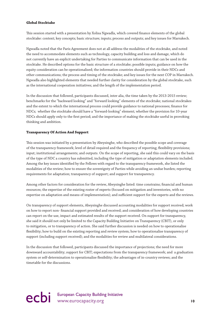## **Global Stocktake**

This session started with a presentation by Xolisa Ngwadla, which covered finance elements of the global stocktake: context; key concepts; basic structure; inputs; process and outputs; and key issues for Marrakech.

Ngwadla noted that the Paris Agreement does not at all address the modalities of the stocktake, and noted the need to accommodate elements such as technology, capacity building and loss and damage, which do not currently have an explicit undertaking for Parties to communicate information that can be used in the stocktake. He described options for the basic structure of a stocktake; possible inputs; guidance on how the equity consideration can be operationalised; the information countries should provide in their NDCs and other communications; the process and timing of the stocktake; and key issues for the next COP in Marrakech. Ngwadla also highlighted elements that needed further clarity for consideration by the global stocktake, such as the international cooperation initiatives; and the length of the implementation period.

In the discussion that followed, participants discussed, inter alia, the time taken by the 2013-2015 review; benchmarks for the "backward looking" and "forward looking" elements of the stocktake; national stocktakes and the extent to which the international process could provide guidance to national processes; finance for NDCs; whether the stocktake should have a "forward-looking" element; whether the provision for 10-year NDCs should apply only to the first period; and the importance of making the stocktake useful in provoking thinking and ambition.

## **Transparency Of Action And Support**

This session was initiated by a presentation by Abeysinghe, who described the possible scope and coverage of the transparency framework; level of detail required and the frequency of reporting; flexibility provisions; input; institutional arrangements; and outputs. On the scope of reporting, she said this could vary on the basis of the type of NDC a country has submitted, including the type of mitigation or adaptation elements included. Among the key issues identified by the Fellows with regard to the transparency framework, she listed the modalities of the review; how to ensure the sovereignty of Parties while avoiding an undue burden; reporting requirements for adaptation; transparency of support; and support for transparency.

Among other factors for consideration for the review, Abeysinghe listed: time constrains; financial and human resources; the expertise of the existing roster of experts (focused on mitigation and inventories, with no expertise on adaptation and means of implementation); and sufficient support for the experts and the reviews.

On transparency of support elements, Abeysinghe discussed accounting modalities for support received; work on how to report non- financial support provided and received; and consideration of how developing countries can report on the use, impact and estimated results of the support received. On support for transparency, she said it should not only be limited to the Capacity Building Initiative on Transparency (CBIT), or only to mitigation, or to transparency of action. She said further discussion is needed on how to operationalise flexibility; how to build on the existing reporting and review system; how to operationalise transparency of support (including support received); and the modalities for review and multilateral considerations.

In the discussion that followed, participants discussed the importance of projections; the need for more downward accountability; support for CBIT; expectations from the transparency framework; and a graduation system or self-determination to operationalise flexibility; the advantages of in-country reviews; and the timetable for the discussions.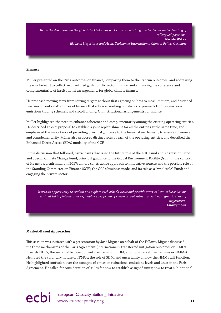*To me the discussion on the global stocktake was particularly useful. I gained a deeper understanding of colleagues' positions.* **Nicole Wilke** *EU Lead Negotiator and Head, Division of International Climate Policy, Germany* 

#### **Finance**

Müller presented on the Paris outcomes on finance, comparing them to the Cancun outcomes, and addressing the way forward to collective quantified goals, public sector finance, and enhancing the coherence and complementarity of institutional arrangements for global climate finance.

He proposed moving away from setting targets without first agreeing on how to measure them; and described two "unconventional" sources of finance that ecbi was working on: shares of proceeds from sub-national emissions trading schemes; and crowdfunding. On institutional arrangements for finance,

Müller highlighted the need to enhance coherence and complementarity among the existing operating entities. He described an ecbi proposal to establish a joint replenishment for all the entities at the same time, and emphasised the importance of providing principal guidance to the financial mechanism, to ensure coherence and complementarity. Müller also proposed distinct roles of each of the operating entities, and described the Enhanced Direct Access (EDA) modality of the GCF.

In the discussion that followed, participants discussed the future role of the LDC Fund and Adaptation Fund and Special Climate Change Fund; principal guidance to the Global Environment Facility (GEF) in the context of its next replenishment in 2017; a more constructive approach to innovative sources and the possible role of the Standing Committee on Finance (SCF); the GCF's business model and its role as a "wholesale" Fund; and engaging the private sector.

*It was an opportunity to explain and explore each other's views and provide practical, amicable solutions without taking into account regional or specific Party concerns, but rather collective pragmatic views of negotiators.* **Anonymous**

#### **Market-Based Approaches**

This session was initiated with a presentation by José Miguez on behalf of the Fellows. Miguez discussed the three mechanisms of the Paris Agreement (internationally transferred mitigation outcomes or ITMOs towards NDCs; the sustainable development mechanism or SDM; and non-market mechanisms or NMMs). He noted the voluntary nature of ITMOs; the role of SDM; and uncertainty on how the NMMs will function. He highlighted confusion over the concepts of emission reductions, emissions levels and units in the Paris Agreement. He called for consideration of: rules for how to establish assigned units; how to treat sub-national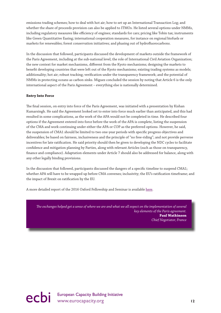emissions trading schemes; how to deal with hot air; how to set up an International Transaction Log; and whether the share of proceeds provision can also be applied to ITMOs. He listed several options under NMMs, including regulatory measures like efficiency of engines; standards for cars; pricing like Tobin tax; instruments like Green Quantitative Easing; international cooperation measures, for instance on regional biofuels or markets for renewables; forest conservation initiatives; and phasing out of hydrofluorocarbons.

In the discussion that followed, participants discussed the development of markets outside the framework of the Paris Agreement, including at the sub-national level; the role of International Civil Aviation Organization; the new context for market mechanisms, different from the Kyoto mechanisms; designing the markets to benefit developing countries that were left out of the Kyoto mechanisms; existing trading systems as models; additionality; hot air; robust tracking; verification under the transparency framework; and the potential of NMMs in protecting oceans as carbon sinks. Miguez concluded the session by noting that Article 6 is the only international aspect of the Paris Agreement – everything else is nationally determined.

## **Entry Into Force**

The final session, on entry into force of the Paris Agreement, was initiated with a presentation by Kishan Kumarsingh. He said the Agreement looked set to enter into force much earlier than anticipated, and this had resulted in some complications, as the work of the APA would not be completed in time. He described four options if the Agreement entered into force before the work of the APA is complete, listing the suspension of the CMA and work continuing under either the APA or COP as the preferred options. However, he said, the suspension of CMA1 should be limited to two one-year periods with specific progress objectives and deliverables; be based on fairness, inclusiveness and the principle of "no free-riding"; and not provide perverse incentives for late ratification. He said priority should then be given to developing the NDC cycles to facilitate confidence and mitigation planning by Parties, along with relevant Articles (such as those on transparency, finance and compliance). Adaptation elements under Article 7 should also be addressed for balance, along with any other legally binding provisions.

In the discussion that followed, participants discussed the dangers of a specific timeline to suspend CMA1; whether APA will have to be wrapped up before CMA convenes; inclusivity; the EU's ratification timeframe; and the impact of Brexit on ratification by the EU.

A more detailed report of the 2016 Oxford Fellowship and Seminar is available [here.](http://www.eurocapacity.org/downloads/2016_Oxford_Seminar_report2016.pdf)

*The exchanges helped get a sense of where we are and what we all expect on the implementation of several key elements of the Paris agreement.* **Paul Watkinson** *Chief Negotiator, France* 

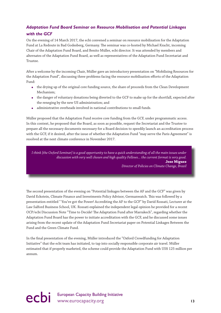## <span id="page-13-0"></span>*Adaptation Fund Board Seminar on Resource Mobilisation and Potential Linkages with the GCF*

On the evening of 14 March 2017, the ecbi convened a seminar on resource mobilisation for the Adaptation Fund at La Redoute in Bad Godesberg, Germany. The seminar was co-hosted by Michael Kracht, incoming Chair of the Adaptation Fund Board, and Benito Müller, ecbi director. It was attended by members and alternates of the Adaptation Fund Board, as well as representatives of the Adaptation Fund Secretariat and Trustee.

After a welcome by the incoming Chair, Müller gave an introductory presentation on "Mobilising Resources for the Adaptation Fund", discussing three problems facing the resource mobilisation efforts of the Adaptation Fund:

- the drying up of the original core funding source, the share of proceeds from the Clean Development Mechanism;
- the danger of voluntary donations being diverted to the GCF to make up for the shortfall, expected after the reneging by the new US administration; and
- administrative overheads involved in national contributions to small funds.

Müller proposed that the Adaptation Fund receive core funding from the GCF, under programmatic access. In this context, he proposed that the Board, as soon as possible, request the Secretariat and the Trustee to prepare all the necessary documents necessary for a Board decision to speedily launch an accreditation process with the GCF, if it desired, after the issue of whether the Adaptation Fund "may serve the Paris Agreement" is resolved at the next climate conference in November 2017.

*I think [the Oxford Seminar] is a good opportunity to have a quick understanding of all the main issues under discussion with very well chosen and high quality Fellows... the current format is very good.* **Jose Miguez** *Director of Policies on Climate Change, Brazil* 

The second presentation of the evening on "Potential linkages between the AF and the GCF" was given by David Eckstein, Climate Finance and Investments Policy Advisor, Germanwatch. This was followed by a presentation entitled " You've got the Power! Accrediting the AF to the GCF" by David Rossati, Lecturer at the Law Salford Business School, UK. Rossati explained the independent legal opinion he provided for a recent OCP/ecbi Discussion Note "Time to Decide! The Adaptation Fund after Marrakech", regarding whether the Adaptation Fund Board has the power to initiate accreditation with the GCF, and he discussed some issues arising from the recent update of the Adaptation Fund Secretariat paper on Potential Linkages Between the Fund and the Green Climate Fund.

In the final presentation of the evening, Müller introduced the "Oxford Crowdfunding for Adaptation Initiative" that the ecbi team has initiated, to tap into socially responsible corporate air travel. Müller estimated that if properly marketed, the scheme could provide the Adaptation Fund with US\$ 125 million per annum.

# ecbi European Capacity Building Initiative<br>
13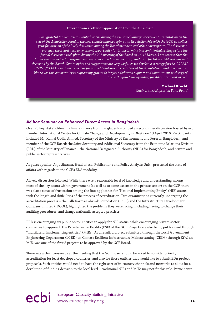#### Excerpt from a l[etter of appreciation from the AFB Chair](http://www.eurocapacity.org/downloads/Appreciation_letter_ecbi_Director_Mar2017.pdf)

<span id="page-14-0"></span>*I am grateful for your overall contributions during the event including your excellent presentation on the role of the Adaptation Fund in the new climate finance regime and its relationship with the GCF, as well as your facilitation of the lively discussion among the Board members and other participants. The discussion provided the Board with an excellent opportunity for brainstorming in a confidential setting before the formal discussion took place during the 29h meeting of the Board on 16-17 March. I am certain that the dinner seminar helped to inspire members' views and laid important foundation for future deliberations and decisions by the Board. Your insights and suggestions are very useful as we develop a strategy for the COP23/ CMP13/CMA1.2 in Bonn as well as for our deliberations on the future of the Adaptation Fund. I would also like to use this opportunity to express my gratitude for your dedicated support and commitment with regard to the "Oxford Crowdfunding for Adaptation Initiative".*

#### **Michael Kracht**

*Chair of the Adaptation Fund Board*

## *Ad hoc Seminar on Enhanced Direct Access in Bangladesh*

Over 20 key stakeholders in climate finance from Bangladesh attended an ecbi dinner discussion hosted by ecbi member International Centre for Climate Change and Development, in Dhaka on 13 April 2016. Participants included Mr. Kamal Uddin Ahmed, Secretary of the Ministry of Environment and Forests, Bangladesh, and member of the GCF Board; the Joint Secretary and Additional Secretary from the Economic Relations Division (ERD) of the Ministry of Finance – the National Designated Authority (NDA) for Bangladesh; and private and public sector representatives.

As guest speaker, Anju Sharma, Head of ecbi Publications and Policy Analysis Unit, presented the state of affairs with regards to the GCF's EDA modality.

A lively discussion followed. While there was a reasonable level of knowledge and understanding among most of the key actors within government (as well as to some extent in the private sector) on the GCF, there was also a sense of frustration among the first applicants for "National Implementing Entity" (NIE) status with the length and difficulties of the process of accreditation. Two organizations currently undergoing the accreditation process – the Palli Karma-Sahayak Foundation (PKSF) and the Infrastructure Development Company Limited (IDCOL), highlighted the problems they were facing, including having to change their auditing procedures, and change nationally accepted practices.

ERD is encouraging six public sector entities to apply for NIE status, while encouraging private sector companies to approach the Private Sector Facility (PSF) of the GCF. Projects are also being put forward through "multilateral implementing entities" (MIEs). As a result, a project submitted through the Local Government Engineering Department (LGED) on Climate Resilient Infrastructure Mainstreaming (CRIM) through KfW, an MIE, was one of the first 8 projects to be approved by the GCF Board.

There was a clear consensus at the meeting that the GCF Board should be asked to consider priority accreditation for least developed countries, and also for those entities that would like to submit EDA project proposals. Such entities would need to have the right sort of in-country channels and networks to allow for a devolution of funding decision to the local level – traditional NIEs and MIEs may not fit this role. Participants

ecbi European Capacity Building Initiative<br>
14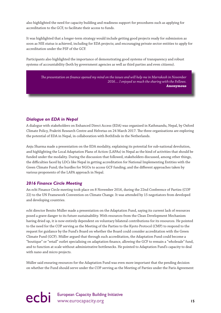<span id="page-15-0"></span>also highlighted the need for capacity building and readiness support for procedures such as applying for accreditation to the GCF, to facilitate their access to funds.

It was highlighted that a longer-term strategy would include getting good projects ready for submission as soon as NIE status is achieved, including for EDA projects; and encouraging private sector entities to apply for accreditation under the PSF of the GCF.

Participants also highlighted the importance of demonstrating good systems of transparency and robust systems of accountability (both by government agencies as well as third parties and even citizens).

*The presentation on finance opened my mind on the issues and will help me in Marrakesh in November 2016.... I enjoyed so much the sharing with the Fellows.* **Anonymous** 

## *Dialogue on EDA in Nepal*

A dialogue with stakeholders on Enhanced Direct Access (EDA) was organised in Kathmandu, Nepal, by Oxford Climate Policy, Prakriti Research Centre and Helvetas on 24 March 2017. The three organisations are exploring the potential of EDA in Nepal, in collaboration with BothEnds in the Netherlands.

Anju Sharma made a presentation on the EDA modality, explaining its potential for sub-national devolution, and highlighting the Local Adaptation Plans of Action (LAPAs) in Nepal as the kind of activities that should be funded under the modality. During the discussion that followed, stakeholders discussed, among other things, the difficulties faced by LDCs like Nepal in getting accreditation for National Implementing Entities with the Green Climate Fund; the hurdles for NGOs to access GCF funding; and the different approaches taken by various proponents of the LAPA approach in Nepal.

## *2016 Finance Circle Meeting*

An ecbi Finance Circle meeting took place on 8 November 2016, during the 22nd Conference of Parties (COP 22) to the UN Framework Convention on Climate Change. It was attended by 15 negotiators from developed and developing countries.

ecbi director Benito Müller made a presentation on the Adaptation Fund, saying its current lack of resources posed a grave danger to its future sustainability. With resources from the Clean Development Mechanism having dried up, it is now entirely dependent on voluntary bilateral contributions for its resources. He pointed to the need for the COP serving as the Meeting of the Parties to the Kyoto Protocol (CMP) to respond to the request for guidance by the Fund's Board on whether the Board could consider accreditation with the Green Climate Fund (GCF). Müller argued that through such accreditation, the Adaptation Fund could become a "boutique" or "retail" outlet specialising on adaptation finance, allowing the GCF to remain a "wholesale" fund, and to function at scale without administrative bottlenecks. He pointed to Adaptation Fund's capacity to deal with nano and micro projects.

Müller said ensuring resources for the Adaptation Fund was even more important that the pending decision on whether the Fund should serve under the COP serving as the Meeting of Parties under the Paris Agreement

# ecbi European Capacity Building Initiative<br> **15** www.eurocapacity.org **15**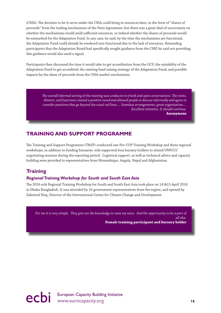<span id="page-16-0"></span>(CMA). The decision to let it serve under the CMA could bring in resources later, in the form of "shares of proceeds" from the trading mechanisms of the Paris Agreement, but there was a great deal of uncertainty on whether the mechanisms would yield sufficient resources, or indeed whether the shares of proceeds would be earmarked for the Adaptation Fund. In any case, he said, by the time the mechanisms are functional, the Adaptation Fund could already be rendered non-functional due to the lack of resources. Reminding participants that the Adaptation Board had specifically sought guidance from the CMP, he said not providing this guidance would also send a signal.

Participants then discussed the time it would take to get accreditation from the GCF; the suitability of the Adaptation Fund to get accredited; the existing fund raising strategy of the Adaptation Fund; and possible impacts by the share of proceeds from the CMA market mechanisms.

> *The overall informal setting of the meeting was conducive to frank and open conversations. The visits, dinners, and functions created a positive mood and allowed people to discuss informally and agree to consider positions that go beyond the usual red lines.... Seamless arrangements, great organisation.... Excellent initiative. It should continue.* **Anonymous**

# **TRAINING AND SUPPORT PROGRAMME**

The Training and Support Programme (T&SP) conducted one Pre-COP Training Workshop and three regional workshops, in addition to funding bursaries. ecbi supported four bursary holders to attend UNFCCC negotiating sessions during the reporting period. Logistical support, as well as technical advice and capacity building were provided to representatives from Mozambique, Angola, Nepal and Afghanistan.

# **Training**

## *Regional Training Workshop for South and South East Asia*

The 2016 ecbi Regional Training Workshop for South and South East Asia took place on 14 &15 April 2016 in Dhaka Bangladesh. It was attended by 16 government representatives from the region, and opened by Saleemul Huq, Director of the International Centre for Climate Change and Development.

*For me it is very simple. They give me the knowledge to raise my voice. And the opportunity to be a part of all this.* 



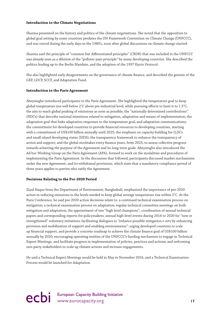### **Introduction to the Climate Negotiations**

Sharma presented on the history and politics of the climate negotiations. She noted that the opposition to global goal setting by some countries predates the UN Framework Convention on Climate Change (UNFCCC), and was voiced during the early days in the 1980's, soon after global discussions on climate change started.

Sharma said the principle of "common but differentiated principles" (CBDR) that was included in the UNFCCC was already seen as a dilution of the "polluter pays principle" by many developing countries. She described the politics leading up to the Berlin Mandate, and the adoption of the 1997 Kyoto Protocol.

She also highlighted early disagreements on the governance of climate finance, and described the genesis of the GEF, LDCF, SCCF, and Adaptation Fund.

## **Introduction to the Paris Agreement**

Abeysinghe introduced participants to the Paris Agreement. She highlighted the temperature goal to keep global temperature rise well below 2°C above pre-industrial level, while pursuing efforts to limit it to 1.5°C; the aim to reach global peaking of emissions as soon as possible; the "nationally determined contributions" (NDCs) that describe national intentions related to mitigation, adaptation and means of implementation; the adaptation goal that links adaptation responses to the temperature goal, and adaptation communications; the commitment for developed countries to provide financial resources to developing countries, starting with a commitment of US\$100 billion annually until 2025; the emphasis on capacity building for (LDCs and small island developing states (SIDS); the transparency framework to enhance the transparency of action and support; and the global stocktakes every finance years, from 2023, to assess collective progress towards achieving the purpose of the Agreement and its long-term goals. Abeysinghe also introduced the Ad hoc Working Group on the Paris Agreement (APA), formed to work on the modalities and procedures of implementing the Paris Agreement. In the discussion that followed, participants discussed market mechanisms under the new Agreement, and its withdrawal provisions, which state that a mandatory compliance period of three years applies to parties who ratify the Agreement.

## **Decisions Relating to the Pre-2020 Period**

Ziaul Haque from the Department of Environment, Bangladesh, emphasised the importance of pre-2020 action in reducing emissions to the levels needed to keep global average temperature rise within 2°C. At the Paris Conference, he said pre-2020 action decisions relate to: a continued technical examination process on mitigation; a technical examination process on adaptation; regular technical committee meetings on both mitigation and adaptation; the appointment of two "high level champions"; coordination of annual technical papers and corresponding reports for policymakers; annual high-level events during 2016 to 2020 for "new or strengthened" voluntary initiatives; facilitating dialogues to "enhance possible mitigation e orts by enhancing provision and mobilization of support and enabling environments"; urging developed countries to scale up financial support, and provide a concrete roadmap to achieve the climate finance goal of US\$100 billion annually by 2020; encouraging operating entities of the UNFCCC's funding mechanism to engage in Technical Expert Meetings, and facilitate progress in implementation of policies, practices and actions; and welcoming non-party stakeholders to scale up climate actions and increase engagements.

He said a Technical Expert Meetings would be held in May in November 2016, and a Technical Examination Process would be launched for Adaptation.

# European Capacity Building Initiative<br>
Www.eurocapacity.org 
17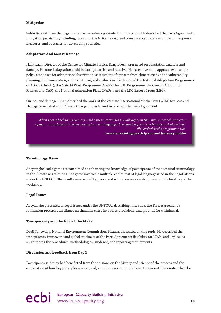## **Mitigation**

Subhi Barakat from the Legal Response Initiatives presented on mitigation. He described the Paris Agreement's mitigation provisions, including, inter alia, the NDCs; review and transparency measures; impact of response measures; and obstacles for developing countries.

## **Adaptation And Loss & Damage**

Hafij Khan, Director of the Centre for Climate Justice, Bangladesh, presented on adaptation and loss and damage. He noted adaptation could be both proactive and reactive. He listed five main approaches to shape policy responses for adaptation: observation; assessment of impacts from climate change and vulnerability; planning; implementation; and monitoring and evaluation. He described the National Adaptation Programmes of Action (NAPAs); the Nairobi Work Programme (NWP); the LDC Programme; the Cancun Adaptation Framework (CAF); the National Adaptation Plans (NAPs); and the LDC Expert Group (LEG).

On loss and damage, Khan described the work of the Warsaw International Mechanism (WIM) for Loss and Damage associated with Climate Change Impacts; and Article 8 of the Paris Agreement.

*When I came back to my country, I did a presentation for my colleagues in the Environmental Protection Agency. I translated all the documents in to our languages (we have two), and the Minister asked me how I did, and what the programme was.*  **Female training participant and bursary holder** 

## **Terminology Game**

Abeysinghe lead a game session aimed at enhancing the knowledge of participants of the technical terminology in the climate negotiations. The game involved a multiple-choice test of legal language used in the negotiations under the UNFCCC. The results were scored by peers, and winners were awarded prizes on the final day of the workshop.

## **Legal Issues**

Abeysinghe presented on legal issues under the UNFCCC, describing, inter alia, the Paris Agreement's ratification process; compliance mechanism; entry into force provisions; and grounds for withdrawal.

## **Transparency and the Global Stocktake**

Dorji Tshewang, National Environment Commission, Bhutan, presented on this topic. He described the transparency framework and global stocktake of the Paris Agreement; flexibility for LDCs; and key issues surrounding the procedures, methodologies, guidance, and reporting requirements.

## **Discussion and Feedback from Day 1**

Participants said they had benefitted from the sessions on the history and science of the process and the explanation of how key principles were agreed, and the sessions on the Paris Agreement. They noted that the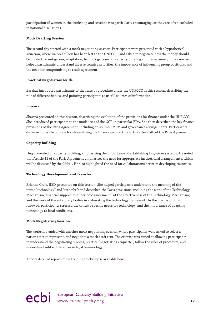participation of women in the workshop and sessions was particularly encouraging, as they are often excluded in national discussions.

## **Mock Drafting Session**

The second day started with a mock negotiating session. Participants were presented with a hypothetical situation, where US \$80 billion has been left to the UNFCCC, and asked to negotiate how the money should be divided for mitigation, adaptation, technology transfer, capacity building and transparency. This exercise helped participants understand diverse country priorities; the importance of influencing group positions; and the need for compromising to reach agreement.

## **Practical Negotiation Skills**

Barakat introduced participants to the rules of procedure under the UNFCCC in this session, describing the role of different bodies, and pointing participants to useful sources of information.

## **Finance**

Sharma presented on this session, describing the evolution of the provisions for finance under the UNFCCC. She introduced participants to the modalities of the GCF, in particular EDA. She then described the key finance provisions of the Paris Agreement, including on sources, MRV, and governance arrangements. Participants discussed possible options for streamlining the finance architecture in the aftermath of the Paris Agreement.

## **Capacity Building**

Huq presented on capacity building, emphasising the importance of establishing long-term systems. He noted that Article 11 of the Paris Agreement emphasises the need for appropriate institutional arrangements, which will be discussed by the CMA1. He also highlighted the need for collaborations between developing countries.

## **Technology Development and Transfer**

Brianna Craft, IIED, presented on this session. She helped participants understand the meaning of the terms "technology" and "transfer"; and described the Paris provisions, including the work of the Technology Mechanism; financial support; the "periodic assessment" of the effectiveness of the Technology Mechanism; and the work of the subsidiary bodies in elaborating the technology framework. In the discussion that followed, participants stressed the context-specific needs for technology, and the importance of adapting technology to local conditions.

## **Mock Negotiating Session**

The workshop ended with another mock negotiating session, where participants were asked to select a nation state to represent, and negotiate a mock draft text. The exercise was aimed at allowing participants to understand the negotiating process, practice "negotiating etiquette", follow the rules of procedure, and understand subtle differences in legal terminology.

A more detailed report of the training workshop is available [here](http://www.eurocapacity.org/downloads/Regional-Workshop-Dhaka-2016.pdf).

ecbi European Capacity Building Initiative<br>
19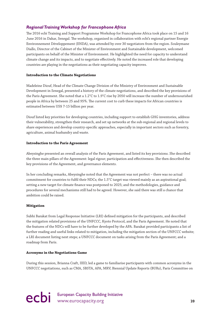## <span id="page-20-0"></span>*Regional Training Workshop for Francophone Africa*

The 2016 ecbi Training and Support Programme Workshop for Francophone Africa took place on 15 and 16 June 2016 in Dakar, Senegal. The workshop, organised in collaboration with ecbi's regional partner Energie Environnement Développement (ENDA), was attended by over 30 negotiators from the region. Souleymane Diallo, Director of the Cabinet of the Minister of Environment and Sustainable development, welcomed participants on behalf of the Minister of Environment. He highlighted the need for capacity to understand climate change and its impacts, and to negotiate effectively. He noted the increased role that developing countries are playing in the negotiations as their negotiating capacity improves.

## **Introduction to the Climate Negotiations**

Madeleine Diouf, Head of the Climate Change Division of the Ministry of Environment and Sustainable Development in Senegal, presented a history of the climate negotiations, and described the key provisions of the Paris Agreement. She noted that a 1.2°C to 1.9°C rise by 2050 will increase the number of undernourished people in Africa by between 25 and 95%. The current cost to curb these impacts for African countries is estimated between US\$ 7-15 billion per year.

Diouf listed key priorities for developing countries, including support to establish GHG inventories, address their vulnerability, strengthen their research, and set up networks at the sub-regional and regional levels to share experiences and develop country-specific approaches, especially in important sectors such as forestry, agriculture, animal husbandry and waste.

## **Introduction to the Paris Agreement**

Abeysinghe presented an overall analysis of the Paris Agreement, and listed its key provisions. She described the three main pillars of the Agreement: legal rigour; participation and effectiveness. She then described the key provisions of the Agreement, and governance elements.

In her concluding remarks, Abeysinghe noted that the Agreement was not perfect – there was no actual commitment for countries to fulfil their NDCs; the 1.5°C target was viewed mainly as an aspirational goal; setting a new target for climate finance was postponed to 2025; and the methodologies, guidance and procedures for several mechanisms still had to be agreed. However, she said there was still a chance that ambition could be raised.

## **Mitigation**

Subhi Barakat from Legal Response Initiative (LRI) defined mitigation for the participants, and described the mitigation related provisions of the UNFCCC, Kyoto Protocol, and the Paris Agreement. He noted that the features of the NDCs will have to be further developed by the APA. Barakat provided participants a list of further reading and useful links related to mitigation, including the mitigation section of the UNFCCC website; a LRI document listing next steps; a UNFCCC document on tasks arising from the Paris Agreement; and a roadmap from Paris.

## **Acronyms in the Negotiations Game**

During this session, Brianna Craft, IIED, led a game to familiarise participants with common acronyms in the UNFCCC negotiations, such as CMA, SBSTA, APA, MRV, Biennial Update Reports (BURs), Paris Committee on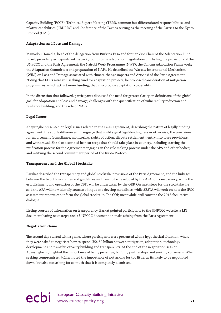Capacity Building (PCCB), Technical Expert Meeting (TEM), common but differentiated responsibilities, and relative capabilities (CBDRRC) and Conference of the Parties serving as the meeting of the Parties to the Kyoto Protocol (CMP).

## **Adaptation and Loss and Damage**

Mamadou Honadia, head of the delegation from Burkina Faso and former Vice Chair of the Adaptation Fund Board, provided participants with a background to the adaptation negotiations, including the provisions of the UNFCCC and the Paris Agreement; the Nairobi Work Programme (NWP); the Cancun Adaptation Framework; the Adaptation Committee; and preparation of NAPs. He described the Warsaw International Mechanism (WIM) on Loss and Damage associated with climate change impacts and Article 8 of the Paris Agreement. Noting that LDCs were still seeking fund for adaptation projects, he proposed consideration of mitigation programmes, which attract more funding, that also provide adaptation co-benefits.

In the discussion that followed, participants discussed the need for greater clarity on definitions of the global goal for adaptation and loss and damage; challenges with the quantification of vulnerability reduction and resilience building; and the role of NAPs.

## **Legal Issues**

Abeysinghe presented on legal issues related to the Paris Agreement, describing the nature of legally binding agreement; the subtle differences in language that could signal legal-bindingness or otherwise; the provisions for enforcement (compliance, monitoring, rights of action, dispute settlement); entry into force provisions; and withdrawal. She also described he next steps that should take place in-country, including starting the ratification process for the Agreement; engaging in the rule making process under the APA and other bodies; and ratifying the second commitment period of the Kyoto Protocol.

## **Transparency and the Global Stocktake**

Barakat described the transparency and global stocktake provisions of the Paris Agreement, and the linkages between the two. He said rules and guidelines will have to be developed by the APA for transparency, while the establishment and operation of the CBIT will be undertaken by the GEF. On next steps for the stocktake, he said the APA will now identify sources of input and develop modalities, while SBSTA will work on how the IPCC assessment reports can inform the global stocktake. The COP, meanwhile, will convene the 2018 facilitative dialogue.

Listing sources of information on transparency, Barkat pointed participants to the UNFCCC website; a LRI document listing next steps; and a UNFCCC document on tasks arising from the Paris Agreement.

## **Negotiation Game**

The second day started with a game, where participants were presented with a hypothetical situation, where they were asked to negotiate how to spend US\$ 80 billion between mitigation, adaptation, technology development and transfer, capacity building and transparency. At the end of the negotiation session, Abeysinghe highlighted the importance of being proactive, building partnerships and seeking consensus. When seeking compromises, Müller noted the importance of not asking for too little, as its likely to be negotiated down, but also not asking for so much that it is completely dismissed.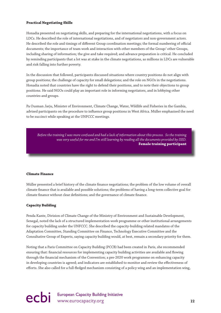## **Practical Negotiating Skills**

Honadia presented on negotiating skills, and preparing for the international negotiations, with a focus on LDCs. He described the role of international negotiations, and of negotiators and non-government actors. He described the role and timings of different Group coordination meetings; the formal numbering of official documents; the importance of team work and interaction with other members of the Group/ other Groups, including sharing of information; the give and take required; and advance preparation is critical. He concluded by reminding participants that a lot was at stake in the climate negotiations, as millions in LDCs are vulnerable and risk falling into further poverty.

In the discussion that followed, participants discussed situations where country positions do not align with group positions; the challenge of capacity for small delegations; and the role on NGOs in the negotiations. Honadia noted that countries have the right to defend their positions, and to note their objections to group positions. He said NGOs could play an important role in informing negotiators, and in lobbying other countries and groups.

Pa Ousman Jarju, Minister of Environment, Climate Change, Water, Wildlife and Fisheries in the Gambia, advised participants on the procedure to influence group positions in West Africa. Müller emphasised the need to be succinct while speaking at the UNFCCC meetings.

*Before the training I was more confused and had a lack of information about this process. So the training was very useful for me and I'm still learning by reading all the documents provided by IIED.*  **Female training participant**

## **Climate Finance**

Müller presented a brief history of the climate finance negotiations; the problem of the low volume of overall climate finance that is available and possible solutions; the problems of having a long-term collective goal for climate finance without clear definitions; and the governance of climate finance.

## **Capacity Building**

Penda Kante, Division of Climate Change of the Ministry of Environment and Sustainable Development, Senegal, noted the lack of a structured implementation work programme or other institutional arrangements for capacity building under the UNFCCC. She described the capacity-building related mandates of the Adaptation Committee, Standing Committee on Finance, Technology Executive Committee and the Consultative Group of Experts, saying capacity building would, at best, remain a secondary priority for them.

Noting that a Paris Committee on Capacity Building (PCCB) had been created in Paris, she recommended ensuring that: financial resources for implementing capacity building activities are available and flowing through the financial mechanism of the Convention; a pre-2020 work programme on enhancing capacity in developing countries is agreed; and indicators are established to monitor and review the effectiveness of efforts. She also called for a full-fledged mechanism consisting of a policy wing and an implementation wing,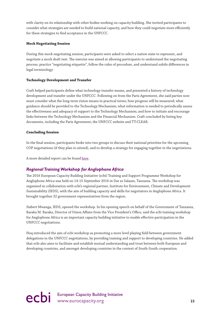<span id="page-23-0"></span>with clarity on its relationship with other bodies working on capacity building. She invited participants to consider what strategies are needed to build national capacity, and how they could negotiate more efficiently for these strategies to find acceptance in the UNFCCC.

## **Mock Negotiating Session**

During this mock negotiating session, participants were asked to select a nation state to represent, and negotiate a mock draft text. The exercise was aimed at allowing participants to understand the negotiating process, practice "negotiating etiquette", follow the rules of procedure, and understand subtle differences in legal terminology.

## **Technology Development and Transfer**

Craft helped participants define what technology transfer means, and presented a history of technology development and transfer under the UNFCCC. Following on from the Paris Agreement, she said parties now must consider what the long-term vision means in practical terms; how progress will be measured; what guidance should be provided to the Technology Mechanism; what information is needed to periodically assess the effectiveness and adequacy of support to the Technology Mechanism; and how to initiate and encourage links between the Technology Mechanism and the Financial Mechanism. Craft concluded by listing key documents, including the Paris Agreement; the UNFCCC website and TT:CLEAR.

## **Concluding Session**

In the final session, participants broke into two groups to discuss their national priorities for the upcoming COP negotiations (if they plan to attend), and to develop a strategy for engaging together in the negotiations.

A more detailed report can be found [here](http://www.eurocapacity.org/downloads/Regional_Workshop_Dakar_2016.pdf).

## *Regional Training Workshop for Anglophone Africa*

The 2016 European Capacity Building Initiative (ecbi) Training and Support Programme Workshop for Anglophone Africa was held on 14-15 September 2016 in Dar es Salaam, Tanzania. The workshop was organised in collaboration with ecbi's regional partner, Institute for Environment, Climate and Development Sustainability (IEDS), with the aim of building capacity and skills for negotiators in Anglophone Africa. It brought together 32 government representatives from the region.

Sixbert Mwanga, IEDS, opened the workshop. In his opening speech on behalf of the Government of Tanzania, Baraka M. Baraka, Director of Union Affairs from the Vice President's Office, said the ecbi training workshop for Anglophone Africa is an important capacity building initiative to enable effective participation in the UNFCCC negotiations.

Huq introduced the aim of ecbi workshop as promoting a more level playing field between government delegations in the UNFCCC negotiations, by providing training and support to developing countries. He added that ecbi also aims to facilitate and establish mutual understanding and trust between both European and developing countries, and amongst developing countries in the context of South-South cooperation.

# ecbi European Capacity Building Initiative and Capacity.org 23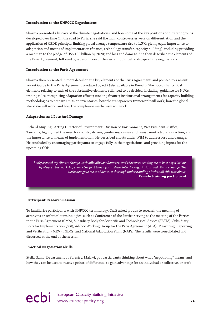### **Introduction to the UNFCCC Negotiations**

Sharma presented a history of the climate negotiations, and how some of the key positions of different groups developed over time On the road to Paris, she said the main controversies were on differentiation and the application of CBDR principle; limiting global average temperature rise to 1.5°C; giving equal importance to adaptation and means of implementation (finance, technology transfer, capacity building), including providing a roadmap to the pledge of US\$ 100 billion by 2020; and loss and damage. She then described the elements of the Paris Agreement, followed by a description of the current political landscape of the negotiations.

## **Introduction to the Paris Agreement**

Sharma then presented in more detail on the key elements of the Paris Agreement, and pointed to a recent Pocket Guide to the Paris Agreement produced by ecbi (also available in French). She noted that critical elements relating to each of the substantive elements still need to be decided, including: guidance for NDCs; trading rules; recognising adaptation efforts; tracking finance; institutional arrangements for capacity building; methodologies to prepare emission inventories; how the transparency framework will work; how the global stocktake will work; and how the compliance mechanism will work.

## **Adaptation and Loss And Damage**

Richard Muyungi, Acting Director of Environment, Division of Environment, Vice President's Office, Tanzania, highlighted the need for country driven, gender responsive and transparent adaptation action, and the importance of means of implementation. He described efforts under WIM to address loss and damage. He concluded by encouraging participants to engage fully in the negotiations, and providing inputs for the upcoming COP.

*I only started my climate change work officially last January, and they were sending me to be a negotiations by May, so the workshops were the first time I got to delve into the negotiations and climate change. The workshop gave me confidence, a thorough understanding of what all this was about.*  **Female training participant**

## **Participant Research Session**

To familiarise participants with UNFCCC terminology, Craft asked groups to research the meaning of acronyms or technical terminologies, such as Conference of the Parties serving as the meeting of the Parties to the Paris Agreement (CMA), Subsidiary Body for Scientific and Technological Advice (SBSTA), Subsidiary Body for Implementation (SBI), Ad-hoc Working Group for the Paris Agreement (APA), Measuring, Reporting and Verification (MRV), INDCs, and National Adaptation Plans (NAPs). The results were consolidated and discussed at the end of the session.

## **Practical Negotiation Skills**

Stella Gama, Department of Forestry, Malawi, got participants thinking about what "negotiating" means, and how they can be used to resolve points of difference, to gain advantage for an individual or collective, or craft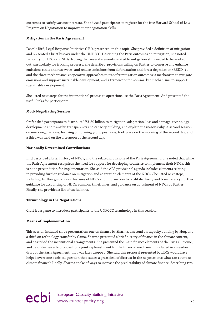outcomes to satisfy various interests. She advised participants to register for the free Harvard School of Law Program on Negotiation to improve their negotiation skills.

## **Mitigation in the Paris Agreement**

Pascale Bird, Legal Response Initiative (LRI), presented on this topic. She provided a definition of mitigation and presented a brief history under the UNFCCC. Describing the Paris outcomes on mitigation, she noted flexibility for LDCs and SIDs. Noting that several elements related to mitigation still needed to be worked out, particularly for tracking progress, she described provisions calling on Parties to conserve and enhance emissions sinks and reservoirs, and reduce emissions from deforestation and forest degradation (REDD+) , and the three mechanisms: cooperative approaches to transfer mitigation outcomes; a mechanism to mitigate emissions and support sustainable development; and a framework for non-market mechanisms to support sustainable development.

She listed next steps for the international process to operationalise the Paris Agreement. And presented the useful links for participants.

## **Mock Negotiating Session**

Craft asked participants to distribute US\$ 80 billion to mitigation, adaptation, loss and damage, technology development and transfer, transparency and capacity building, and explain the reasons why. A second session on mock negotiations, focusing on forming group positions, took place on the morning of the second day; and a third was held on the afternoon of the second day.

## **Nationally Determined Contributions**

Bird described a brief history of NDCs, and the related provisions of the Paris Agreement. She noted that while the Paris Agreement recognises the need for support for developing countries to implement their NDCs, this is not a precondition for implementation. She said the APA provisional agenda includes elements relating to providing further guidance on mitigation and adaptation elements of the NDCs. She listed next steps, including further guidance on features of NDCs and information to facilitate clarity and transparency; further guidance for accounting of NDCs; common timeframes; and guidance on adjustment of NDCs by Parties. Finally, she provided a list of useful links.

## **Terminology in the Negotiations**

Craft led a game to introduce participants to the UNFCCC terminology in this session.

## **Means of Implementation**

This session included three presentation: one on finance by Sharma, a second on capacity building by Huq, and a third on technology transfer by Gama. Sharma presented a brief history of finance in the climate context, and described the institutional arrangements. She presented the main finance elements of the Paris Outcome, and described an ecbi proposal for a joint replenishment for the financial mechanism, included in an earlier draft of the Paris Agreement, that was later dropped. She said this proposal presented by LDCs would have helped overcome a critical question that causes a great deal of distrust in the negotiations: what can count as climate finance? Finally, Sharma spoke of ways to increase the predictability of climate finance, describing two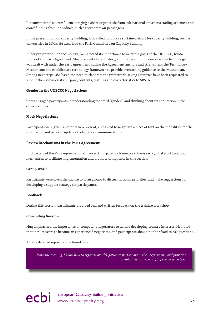<span id="page-26-0"></span>"unconventional sources" – encouraging a share of proceeds from sub-national emissions trading schemes; and crowdfunding from individuals, such as corporate air passengers.

In the presentation on capacity building, Huq called for a more sustained effort for capacity building, such as universities in LDCs. He described the Paris Committee on Capacity Building.

In her presentation on technology, Gama noted its importance to meet the goals of the UNFCCC, Kyoto Protocol and Paris Agreement. She provided a brief history, and then went on to describe how technology was dealt with under the Paris Agreement, saying the Agreement anchors and strengthens the Technology Mechanism; and establishes a technology framework to provide overarching guidance to the Mechanism. Among next steps, she listed the need to elaborate the framework, saying countries have been requested to submit their views on its purpose, contents, features and characteristics to SBSTA.

### **Gender in the UNFCCC Negotiations**

Gama engaged participants in understanding the word "gender", and thinking about its application in the climate context.

### **Mock Negotiations**

Participants were given a country to represent, and asked to negotiate a piece of text on the modalities for the submission and periodic update of adaptation communications.

### **Review Mechanisms in the Paris Agreement**

Bird described the Paris Agreement's enhanced transparency framework; five-yearly global stocktake; and mechanism to facilitate implementation and promote compliance in this section.

#### **Group Work**

Participants were given the chance to form groups to discuss national priorities, and make suggestions for developing a support strategy for participants.

#### **Feedback**

During this session, participants provided oral and written feedback on the training workshop.

#### **Concluding Session**

Huq emphasised the importance of competent negotiators to defend developing country interests. He noted that it takes years to become an experienced negotiator, and participants should not be afraid to ask questions.

### A more detailed report can be found [here](http://www.eurocapacity.org/downloads/Regional_Workshop_Dar_es_Salaam_2016.pdf).

*With the training, I know how to organise our delegation to participate in the negotiations, and provide a point of view on the draft of the decision text.* 

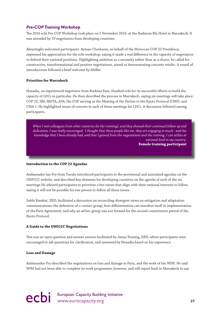## *Pre-COP Training Workshop*

The 2016 ecbi Pre-COP Workshop took place on 5 November 2016, at the Radisson Blu Hotel in Marrakech. It was attended by 19 negotiators from developing countries.

Abeysinghe welcomed participants. Ayman Cherkaoui, on behalf of the Moroccan COP 22 Presidency, expressed his appreciation for the ecbi workshop, saying it made a real difference in the capacity of negotiators to defend their national positions. Highlighting ambition as a necessity rather than as a choice, he called for constructive, transformational and positive negotiations, aimed at demonstrating concrete results. A round of introductions followed a brief welcome by Müller.

## **Priorities for Marrakech**

Honadia, an experienced negotiator from Burkina Faso, thanked ecbi for its successful efforts to build the capacity of LDCs in particular. He then described the process in Marrakech, saying six meetings will take place: COP 22; SBI; SBSTA; APA; the COP serving as the Meeting of the Parties to the Kyoto Protocol (CMP); and CMA 1. He highlighted issues of concern in each of these meetings for LDCs. A discussion followed among participants.

*When I met colleagues from other countries [in the training], and they showed their continued follow up and dedication, I was really encouraged. I thought that these people like me, they are engaging so much - and the knowledge that I have already had, and that I gained from the negotiations and the training, I can utilise at national level in my country.* 

**Female training participant** 

## **Introduction to the COP 22 Agendas**

Ambassador Ian Fry from Tuvalu introduced participants to the provisional and annotated agendas on the UNFCCC website, and described key elements for developing countries on the agenda of each of the six meetings.He advised participants to prioritise a few issues that align with their national interests to follow, saying it will not be possible for one person to follow all these issues.

Subhi Barakat, IIED, facilitated a discussion on reconciling divergent views on mitigation and adaptation communications; the definition of a contact group; how differentiation can manifest itself in implementation of the Paris Agreement; and why an ad hoc group was not formed for the second commitment period of the Kyoto Protocol.

## **A Guide to the UNFCCC Negotiations**

This was an open question and answer session facilitated by Janna Tenzing, IIED, where participants were encouraged to ask questions for clarification, and answered by Honadia based on his experience.

## **Loss and Damage**

Ambassador Fry described the negotiations on loss and damage in Paris, and the work of the WIM. He said WIM had not been able to complete its work programme, however, and will report back in Marrakech to say

ecbi European Capacity Building Initiative **27**<br>
27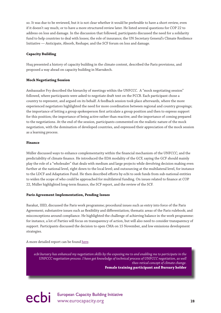so. It was due to be reviewed, but it is not clear whether it would be preferable to have a short review, even if it doesn't say much; or to have a more structured review later. He listed several questions for COP 22 to address on loss and damage. In the discussion that followed, participants discussed the need for a solidarity fund to help countries to deal with losses; the role of insurance; the UN Secretary General's Climate Resilience Initiative — Anticipate, Absorb, Reshape; and the SCF forum on loss and damage.

## **Capacity Building**

Huq presented a history of capacity building in the climate context, described the Paris provisions, and proposed a way ahead on capacity building in Marrakech.

## **Mock Negotiating Session**

Ambassador Fry described the hierarchy of meetings within the UNFCCC. A "mock negotiating session" followed, where participants were asked to negotiate draft text on the PCCB. Each participant chose a country to represent, and argued on its behalf. A feedback session took place afterwards, where the more experienced negotiators highlighted the need for more coordination between regional and country groupings; the importance of letting a group spokesperson first articulate a group position and then to express support for this position; the importance of being active rather than reactive; and the importance of coming prepared to the negotiations. At the end of the session, participants commented on the realistic nature of the mock negotiation, with the domination of developed countries, and expressed their appreciation of the mock session as a learning process.

### **Finance**

Müller discussed ways to enhance complementarity within the financial mechanism of the UNFCCC; and the predictability of climate finance. He introduced the EDA modality of the GCF, saying the GCF should mainly play the role of a "wholesaler" that deals with medium and large projects while devolving decision making even further at the national level, right down to the local level; and outsourcing at the multilateral level, for instance to the LDCF and Adaptation Fund. He then described efforts by ecbi to seek funds from sub-national entities to widen the scope of who could be approached for multilateral funding. On issues related to finance at COP 22, Müller highlighted long-term finance, the SCF report, and the review of the SCF.

## **Paris Agreement Implementation, Pending Issues**

Barakat, IIED, discussed the Paris work programme; procedural issues such as entry into force of the Paris Agreement; substantive issues such as flexibility and differentiation; thematic areas of the Paris rulebook; and misconceptions around compliance. He highlighted the challenge of achieving balance in the work programme: for instance, a lot of Parties will focus on transparency of action, but will also need to consider transparency of support. Participants discussed the decision to open CMA on 15 November, and low emissions development strategies.

A more detailed report can be found [here](http://www.eurocapacity.org/downloads/PCW_Report_Marrakech2016.pdf).

*ecbi bursary has enhanced my negotiation skills by the exposing me to and enabling me to participate in the UNFCCC negotiation process. I have got knowledge of technical process of UNFCCC negotiation, as well theo-retical concept of climate change.*  **Female training participant and Bursary holder**

ecbi European Capacity Building Initiative<br>
28<br>
28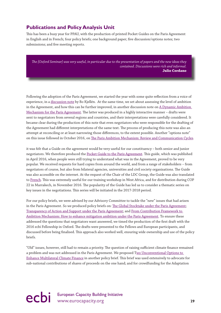## <span id="page-29-0"></span>**Publications and Policy Analysis Unit**

This has been a busy year for PPAU, with the production of printed Pocket Guides on the Paris Agreement in English and in French; four policy briefs; one background paper; five discussion/options notes; two submissions; and five meeting reports.

*The [Oxford Seminar] was very useful, in particular due to the presentation of papers and the new ideas they contained. Discussions were rich and informal.* **Julio Cordano**

Following the adoption of the Paris Agreement, we started the year with some quite reflection from a voice of experience, in a [discussion note](http://www.eurocapacity.org/downloads/Bo_Kjellen_Reflections_Paris_Agreement.pdf) by Bo Kjellén. At the same time, we set about assessing the level of ambition in the Agreement, and how this can be further improved, in another discussion note on A Dynamic Ambition [Mechanism for the Paris Agreement](http://www.eurocapacity.org/downloads/Dynamic_Ambition_Mechanism_for_Paris.pdf). The latter was produced in a highly interactive manner – drafts were sent to negotiators from several regions and countries, and their interpretations were carefully considered. It became clear during the production of this note that even negotiators who were responsible for the drafting of the Agreement had different interpretations of the same text. The process of producing this note was also an attempt at reconciling or at least narrowing those differences, to the extent possible. Another "options note" on this issue followed in October 2016, on [The Paris Ambition Mechanism: Review and Communication Cycles](http://www.eurocapacity.org/downloads/Ambition_Mechanism_Options_Final.pdf).

it was felt that a Guide on the agreement would be very useful for our constituency – both senior and junior negotiators. We therefore produced the [Pocket Guide to the Paris Agreement.](http://www.eurocapacity.org/downloads/PocketGuide-Digital.pdf) This guide, which was published in April 2016, when people were still trying to understand what was in the Agreement, proved to be very popular. We received requests for hard copies from around the world, and from a range of stakeholders – from negotiators of course, but also from bilateral agencies, universities and civil society organisations. The Guide was also accessible on the internet. At the request of the Chair of the LDC Group, the Guide was also translated to [French](http://www.eurocapacity.org/downloads/WEB-FRENCHGUIDE.pdf). This was extremely useful for our training workshop in West Africa, and for distribution during COP 22 in Marrakech, in November 2016. The popularity of the Guide has led us to consider a thematic series on key issues in the negotiations. This series will be initiated in the 2017-2018 period.

For our policy briefs, we were advised by our Advisory Committee to tackle the "new" issues that had arisen in the Paris Agreement. So we produced policy briefs on: [The Global Stocktake under the Paris Agreement](http://www.eurocapacity.org/downloads/GST_2016%5b1%5d.pdf); [Transparency of Action and Support under the Paris Agreement](http://www.eurocapacity.org/downloads/Transparency_in_Paris_Agreement.pdf); and [From Contribution Framework to](http://www.eurocapacity.org/downloads/Dynamic_Ambition_Mechanism_published.pdf)  [Ambition Mechanism: How to enhance mitigation ambition under the Paris Agreement.](http://www.eurocapacity.org/downloads/Dynamic_Ambition_Mechanism_published.pdf) To ensure these addressed the questions that negotiators want answered, we timed the production of the first draft with the 2016 ecbi Fellowship in Oxford. The drafts were presented to the Fellows and European participants, and discussed before being finalised. This approach also worked well, ensuring wide ownership and use of the policy briefs.

"Old" issues, however, still had to remain a priority. The question of raising sufficient climate finance remained a problem and was not addressed in the Paris Agreement. We proposed T[wo Unconventional Options to](http://wo Unconventional Options to Enhance Multilateral Climate Finance)  [Enhance Multilateral Climate Finance](http://wo Unconventional Options to Enhance Multilateral Climate Finance) in another policy brief. This brief was used extensively to advocate for sub-national contributions of shares of proceeds on the one hand; and for crowdfunding for the Adaptation

ecbi European Capacity Building Initiative and Capacity.org 29